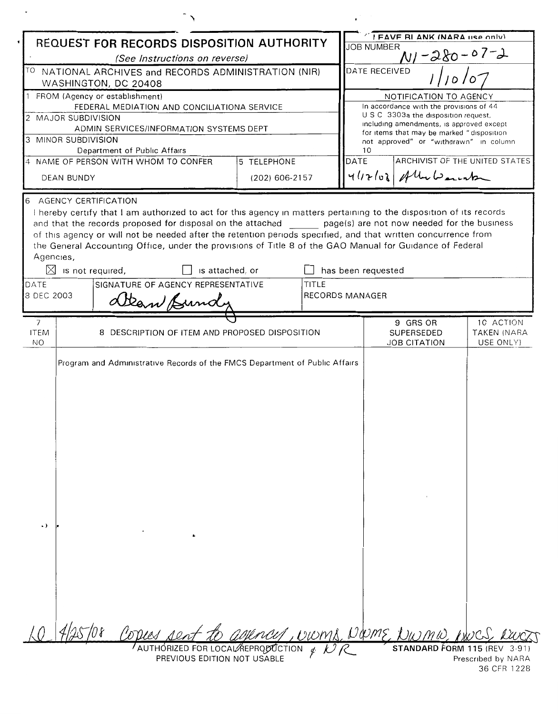| REQUEST FOR RECORDS DISPOSITION AUTHORITY                                                                                                                                                                                                                                                                                                                                                                                                                                                                                                                                                                                                                                                           |                                                                                                             |                |  | I FAVE RI ANK (NARA LISP ONLY)<br><b>JOB NUMBER</b>               |                                                                                       |                                   |  |
|-----------------------------------------------------------------------------------------------------------------------------------------------------------------------------------------------------------------------------------------------------------------------------------------------------------------------------------------------------------------------------------------------------------------------------------------------------------------------------------------------------------------------------------------------------------------------------------------------------------------------------------------------------------------------------------------------------|-------------------------------------------------------------------------------------------------------------|----------------|--|-------------------------------------------------------------------|---------------------------------------------------------------------------------------|-----------------------------------|--|
| (See Instructions on reverse)                                                                                                                                                                                                                                                                                                                                                                                                                                                                                                                                                                                                                                                                       |                                                                                                             |                |  | $N1 - 280 - 07 - 2$                                               |                                                                                       |                                   |  |
| TO NATIONAL ARCHIVES and RECORDS ADMINISTRATION (NIR)<br>WASHINGTON, DC 20408                                                                                                                                                                                                                                                                                                                                                                                                                                                                                                                                                                                                                       |                                                                                                             |                |  | DATE RECEIVED                                                     |                                                                                       |                                   |  |
| 1 FROM (Agency or establishment)                                                                                                                                                                                                                                                                                                                                                                                                                                                                                                                                                                                                                                                                    |                                                                                                             |                |  | NOTIFICATION TO AGENCY<br>In accordance with the provisions of 44 |                                                                                       |                                   |  |
| FEDERAL MEDIATION AND CONCILIATIONA SERVICE<br>2 MAJOR SUBDIVISION                                                                                                                                                                                                                                                                                                                                                                                                                                                                                                                                                                                                                                  |                                                                                                             |                |  | U S C 3303a the disposition request,                              |                                                                                       |                                   |  |
| ADMIN SERVICES/INFORMATION SYSTEMS DEPT                                                                                                                                                                                                                                                                                                                                                                                                                                                                                                                                                                                                                                                             |                                                                                                             |                |  |                                                                   | including amendments, is approved except<br>for items that may be marked "disposition |                                   |  |
| 3 MINOR SUBDIVISION                                                                                                                                                                                                                                                                                                                                                                                                                                                                                                                                                                                                                                                                                 |                                                                                                             |                |  |                                                                   | not approved" or "withdrawn" in column                                                |                                   |  |
| Department of Public Affairs<br>5 TELEPHONE<br>4 NAME OF PERSON WITH WHOM TO CONFER                                                                                                                                                                                                                                                                                                                                                                                                                                                                                                                                                                                                                 |                                                                                                             |                |  | 10<br>DATE                                                        | ARCHIVIST OF THE UNITED STATES                                                        |                                   |  |
| DEAN BUNDY                                                                                                                                                                                                                                                                                                                                                                                                                                                                                                                                                                                                                                                                                          |                                                                                                             | (202) 606-2157 |  |                                                                   | $412108$ Ally Lements                                                                 |                                   |  |
| AGENCY CERTIFICATION<br>6<br>I hereby certify that I am authorized to act for this agency in matters pertaining to the disposition of its records<br>and that the records proposed for disposal on the attached _______ page(s) are not now needed for the business<br>of this agency or will not be needed after the retention periods specified, and that written concurrence from<br>the General Accounting Office, under the provisions of Title 8 of the GAO Manual for Guidance of Federal<br>Agencies,<br>has been requested<br>$\boxtimes$ is not required,<br>is attached, or<br>SIGNATURE OF AGENCY REPRESENTATIVE<br>TITLE<br>DATE<br><b>RECORDS MANAGER</b><br>3 DEC 2003<br>Dean Bundy |                                                                                                             |                |  |                                                                   |                                                                                       |                                   |  |
| $\overline{7}$                                                                                                                                                                                                                                                                                                                                                                                                                                                                                                                                                                                                                                                                                      |                                                                                                             |                |  |                                                                   | 9 GRS OR                                                                              | 10 ACTION                         |  |
| <b>ITEM</b><br>NO.                                                                                                                                                                                                                                                                                                                                                                                                                                                                                                                                                                                                                                                                                  | 8 DESCRIPTION OF ITEM AND PROPOSED DISPOSITION                                                              |                |  |                                                                   | SUPERSEDED<br><b>JOB CITATION</b>                                                     | TAKEN (NARA<br>USE ONLY)          |  |
| ٠,                                                                                                                                                                                                                                                                                                                                                                                                                                                                                                                                                                                                                                                                                                  | Program and Administrative Records of the FMCS Department of Public Affairs                                 |                |  |                                                                   |                                                                                       |                                   |  |
|                                                                                                                                                                                                                                                                                                                                                                                                                                                                                                                                                                                                                                                                                                     | Corres sent a<br>$\sqrt{2}$ AUTHORIZED FOR LOCAL REPRODUCTION $\frac{d}{dx}$<br>PREVIOUS EDITION NOT USABLE |                |  |                                                                   | agency, wome DOME NWMW, woc<br>STANDARD FORM 115 (REV 3-91)                           | Prescribed by NARA<br>36 CFR 1228 |  |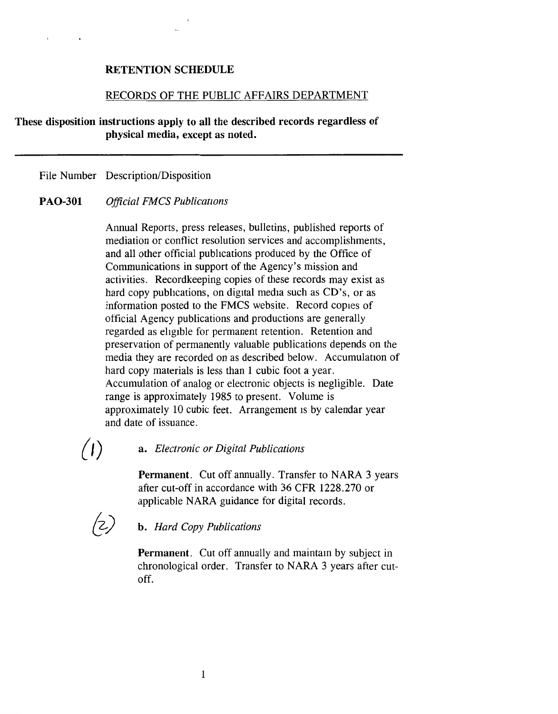#### **RETENTION** SCHEDULE

#### RECORDS OF THE PUBLIC AFFAIRS DEPARTMENT

**These disposition instructions apply to all the described records regardless of physical media, except as noted.** 

File Number Description/Disposition

#### **PAO-301** *Official FMCS Publications*

Annual Reports, press releases, bulletins, published reports of mediation or conflict resolution services and accomplishments, and all other official pubhcations produced by the Office of Communications in support of the Agency's mission and activities. Recordkeeping copies of these records may exist as hard copy publications, on digital media such as CD's, or as information posted to the FMCS website. Record copies of official Agency publications and productions are generally regarded as ehgible for permanent retention. Retention and preservation of permanently valuable publications depends on the media they are recorded on as described below. Accumulation of hard copy materials is less than 1 cubic foot a year. Accumulation of analog or electronic objects is negligible. Date range is approximately 1985 to present. Volume is approximately 10 cubic feet. Arrangement is by calendar year and date of issuance.

# *(* /) a. *Electronic or Digital Publications*

**Permanent.** Cut off annually. Transfer to NARA 3 years after cut-off in accordance with 36 CFR 1228.270 or applicable NARA guidance for digital records.



# *{\_\_z.)* **b.** *Hard Copy Publications*

**Permanent.** Cut off annually and maintain by subject in chronological order. Transfer to NARA 3 years after cutoff.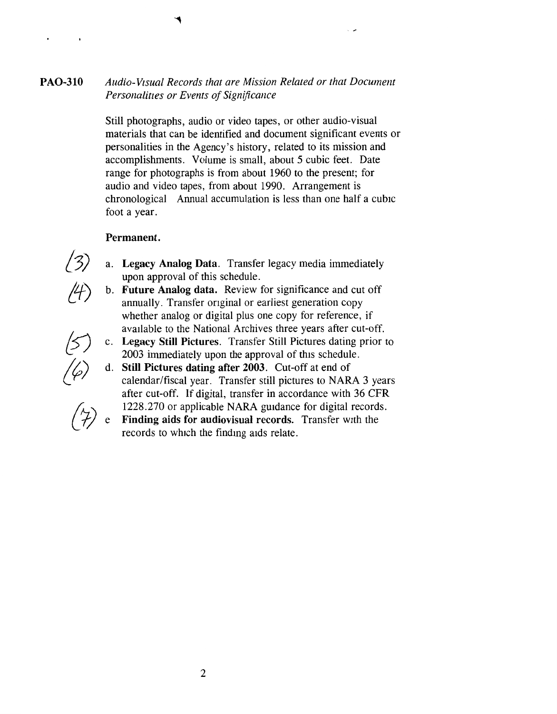## **PA0-310** *Audio-Visual Records that are Mission Related or that Document Personaliues or Events of Significance*

Still photographs, audio or video tapes, or other audio-visual materials that can be identified and document significant events or personalities in the Agency's history, related to its mission and accomplishments. Volume is small, about 5 cubic feet. Date range for photographs is from about 1960 to the present; for audio and video tapes, from about 1990. Arrangement is chronological Annual accumulation is less than one half a cubic foot a year.

#### **Permanent.**

- a. **Legacy Analog Data.** Transfer legacy media immediately upon approval of this schedule.
- b. **Future Analog data.** Review for significance and cut off annually. Transfer onginal or earliest generation copy whether analog or digital plus one copy for reference, if available to the National Archives three years after cut-off.
- **Legacy Still Pictures.** Transfer Still Pictures dating prior to 2003 immediately upon the approval of this schedule.
- **Still Pictures dating after 2003.** Cut-off at end of calendar/fiscal year. Transfer still pictures to NARA 3 years after cut-off. If digital, transfer in accordance with 36 CFR 1228.270 or applicable NARA guidance for digital records.
	- **Finding aids for audiovisual records.** Transfer with the records to which the findmg aids relate.

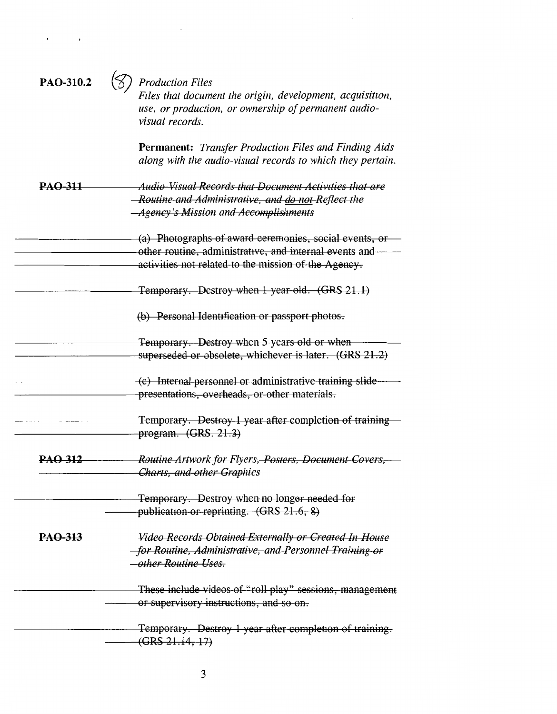| PAO-310.2      | <b>Production Files</b><br>Files that document the origin, development, acquisition,<br>use, or production, or ownership of permanent audio-<br>visual records.          |
|----------------|--------------------------------------------------------------------------------------------------------------------------------------------------------------------------|
|                | <b>Permanent:</b> Transfer Production Files and Finding Aids<br>along with the audio-visual records to which they pertain.                                               |
| <b>PAO-311</b> | Audio-Visual Records that Document Activities that are<br>-Routine and Administrative, and do not Reflect the<br><i><b>Agency's Mission and Accomplishments</b></i>      |
|                | (a) Photographs of award ceremonies, social events, or<br>other routine, administrative, and internal events and<br>activities not related to the mission of the Agency. |
|                | Temporary. Destroy when 1-year old. (GRS 21.1)                                                                                                                           |
|                | (b) Personal Identification or passport photos.                                                                                                                          |
|                | Temporary. Destroy when 5 years old or when<br>superseded or obsolete, whichever is later. (GRS 21.2)                                                                    |
|                | (c) Internal personnel or administrative training slide-<br>presentations, overheads, or other materials.                                                                |
|                | Temporary. Destroy 1 year after completion of training<br>program. (GRS. 21.3)                                                                                           |
| <b>PAQ-312</b> | Routine Artwork for Flyers, Posters, Document Covers,<br><b>Charts, and other Graphics</b>                                                                               |
|                | Temporary. Destroy when no longer needed for<br>publication or reprinting. (GRS 21.6, 8)                                                                                 |
| PAO-313        | Video Records Obtained Externally or Created In House<br>for Routine, Administrative, and Personnel Training or<br>other Routine Uses.                                   |
|                | These include videos of "roll play" sessions, management<br>or supervisory instructions, and so on.                                                                      |
|                | Temporary. Destroy 1 year after completion of training.<br>(GRS 21.14, 17)                                                                                               |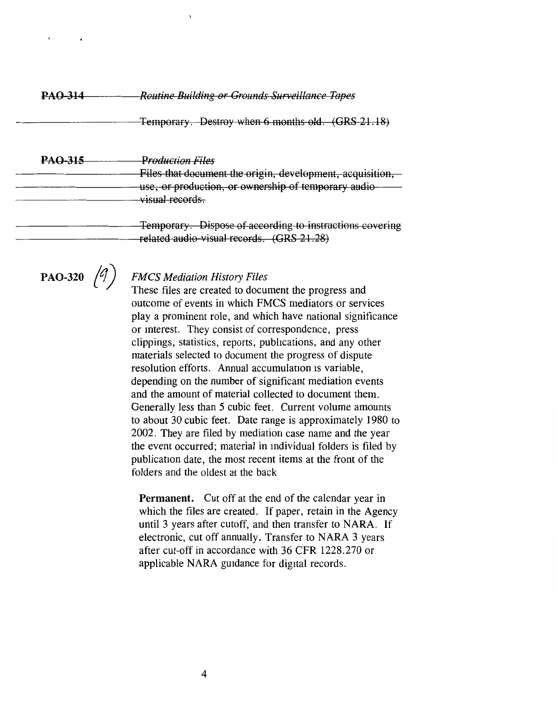| <b>PAO-314</b> | <b>Routine Building or Grounds Surveillance Tapes</b>                                                                                                     |  |  |  |
|----------------|-----------------------------------------------------------------------------------------------------------------------------------------------------------|--|--|--|
|                | Temporary. Destroy when 6 months old. (GRS 21.18)                                                                                                         |  |  |  |
| <b>PAO-315</b> | Production Files<br>Files that document the origin, development, acquisition,<br>use, or production, or ownership of temporary audio-<br>-visual-records. |  |  |  |
|                | Temporary. Dispose of according to instructions covering<br>related audio-visual records. (GRS 21.28)                                                     |  |  |  |

**PAO-320**  $(9)$ 

### *FMCS Mediation History Files*

These files are created to document the progress and outcome of events in which FMCS mediators or services play a prominent role, and which have national significance or mterest. They consist of correspondence, press clippings, statistics, reports, pubhcations, and any other materials selected to document the progress of dispute resolution efforts. Annual accumulation 1s variable, depending on the number of significant mediation events and the amount of material collected to document them. Generally less than 5 cubic feet. Current volume amounts to about 30 cubic feet. Date range is approximately 1980 to 2002. They are filed by mediation case name and the year the event occurred; material in mdividual folders is filed by publication date, the most recent items at the front of the folders and the oldest at the back

**Permanent.** Cut off at the end of the calendar year in which the files are created. If paper, retain in the Agency until 3 years after cutoff, and then transfer to NARA. If electronic, cut off annually. Transfer to NARA 3 years after cut-off in accordance with 36 CFR 1228.270 or applicable NARA guidance for digital records.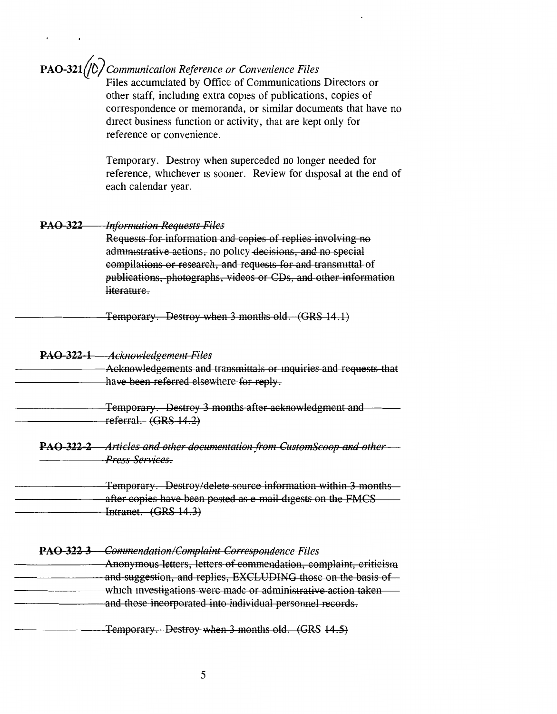## **PA0-32tljD/***Communication Reference or Convenience Files*

Files accumulated by Office of Communications Directors or other staff, includmg extra copies of publications, copies of correspondence or memoranda, or similar documents that have no direct business function or activity, that are kept only for reference or convenience.

Temporary. Destroy when superceded no longer needed for reference, whichever 1s sooner. Review for disposal at the end of each calendar year.

#### **PAO 322** *Information Requests Files*

Requests for information and copies of replies involving no administrative actions, no policy decisions, and no special compilations or research, and requests for and transnuttal of publications, photographs, videos or CDs, and other information literature.

Temporary. Destroy when 3 months old. **(GRS** 14 .1)

#### **PAO 322 1** *Acknowledgement Files*

Acknowledgements and transmittals or mquiries and requests that have been referred elsewhere for reply.

Temporary. Destroy 3 months after acknowledgment and referral. **(GRS** 14 .2)

**PAO-322-2** Articles and other documentation from CustomScoop and other — *Press Services.* 

Temporary. Destroy/delete source information within 3 months after copies have been posted as e mail digests on the FMCS Intranet. (GRS 14.3)

#### **PAO 322 3** *Commendation/Complaint Correspondence Files*

Anonymous letters, letters of commendation, complaint, criticism and suggestion, and replies, EXCLUDING those on the basis of which investigations were made or administrative action taken and those incorporated into individual personnel records.

Temporary. Destroy when 3 months old. **(GRS** 14 .5)